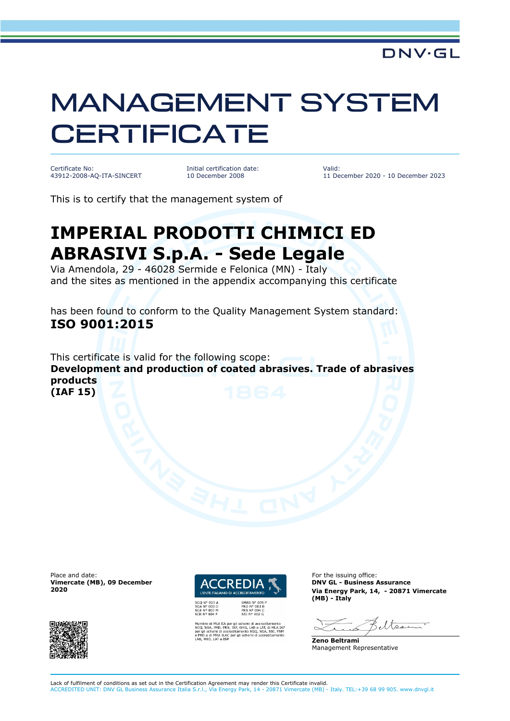## MANAGEMENT SYSTEM **CERTIFICATE**

Certificate No: 43912-2008-AQ-ITA-SINCERT Initial certification date: 10 December 2008

Valid: 11 December 2020 - 10 December 2023

This is to certify that the management system of

## **IMPERIAL PRODOTTI CHIMICI ED ABRASIVI S.p.A. - Sede Legale**

Via Amendola, 29 - 46028 Sermide e Felonica (MN) - Italy and the sites as mentioned in the appendix accompanying this certificate

has been found to conform to the Quality Management System standard: **ISO 9001:2015**

This certificate is valid for the following scope: **Development and production of coated abrasives. Trade of abrasives products (IAF 15)**

Place and date: **For the issuing office:** For the issuing office: **Vimercate (MB), 09 December 2020**





SHG, LAB e LAT, di MLA<br>SHG, LAB e LAT, di MLA<br>ento SGQ, SGA, SSI, F:<br>schemi di accreditame

**DNV GL - Business Assurance Via Energy Park, 14, - 20871 Vimercate (MB) - Italy**

eltser

**Zeno Beltrami** Management Representative